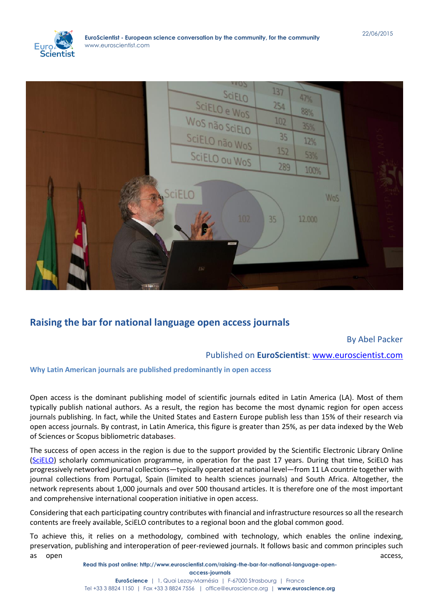



# **[Raising the bar for national language open access journals](http://www.euroscientist.com/raising-the-bar-for-national-language-open-access-journals)**

# By Abel Packer

# Published on **EuroScientist**: [www.euroscientist.com](http://www.euroscientist.com/)

# **Why Latin American journals are published predominantly in open access**

Open access is the dominant publishing model of scientific journals edited in Latin America (LA). Most of them typically publish national authors. As a result, the region has become the most dynamic region for open access journals publishing. In fact, while the United States and Eastern Europe publish less than 15% of their research via open access journals. By contrast, in Latin America, this figure is greater than 25%, as per data indexed by the Web of Sciences or Scopus bibliometric databases.

The success of open access in the region is due to the support provided by the Scientific Electronic Library Online [\(SciELO\)](http://www.scielo.org/) scholarly communication programme, in operation for the past 17 years. During that time, SciELO has progressively networked journal collections—typically operated at national level—from 11 LA countrie together with journal collections from Portugal, Spain (limited to health sciences journals) and South Africa. Altogether, the network represents about 1,000 journals and over 500 thousand articles. It is therefore one of the most important and comprehensive international cooperation initiative in open access.

Considering that each participating country contributes with financial and infrastructure resources so all the research contents are freely available, SciELO contributes to a regional boon and the global common good.

To achieve this, it relies on a methodology, combined with technology, which enables the online indexing, preservation, publishing and interoperation of peer-reviewed journals. It follows basic and common principles such as open access, and access, and access, and access, and access, access, access, access, access, access, access,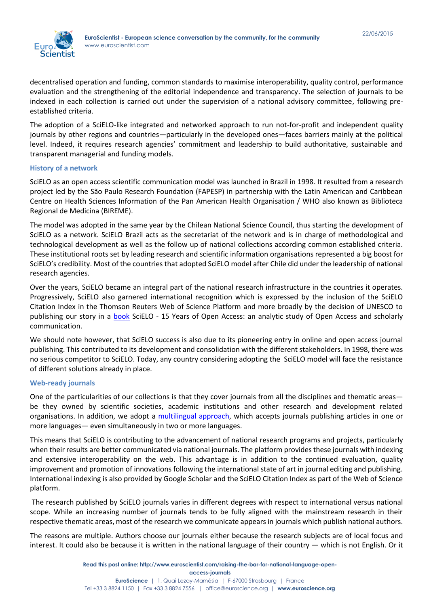

decentralised operation and funding, common standards to maximise interoperability, quality control, performance evaluation and the strengthening of the editorial independence and transparency. The selection of journals to be indexed in each collection is carried out under the supervision of a national advisory committee, following preestablished criteria.

The adoption of a SciELO-like integrated and networked approach to run not-for-profit and independent quality journals by other regions and countries—particularly in the developed ones—faces barriers mainly at the political level. Indeed, it requires research agencies' commitment and leadership to build authoritative, sustainable and transparent managerial and funding models.

#### **History of a network**

SciELO as an open access scientific communication model was launched in Brazil in 1998. It resulted from a research project led by the São Paulo Research Foundation (FAPESP) in partnership with the Latin American and Caribbean Centre on Health Sciences Information of the Pan American Health Organisation / WHO also known as Biblioteca Regional de Medicina (BIREME).

The model was adopted in the same year by the Chilean National Science Council, thus starting the development of SciELO as a network. SciELO Brazil acts as the secretariat of the network and is in charge of methodological and technological development as well as the follow up of national collections according common established criteria. These institutional roots set by leading research and scientific information organisations represented a big boost for SciELO's credibility. Most of the countries that adopted SciELO model after Chile did under the leadership of national research agencies.

Over the years, SciELO became an integral part of the national research infrastructure in the countries it operates. Progressively, SciELO also garnered international recognition which is expressed by the inclusion of the SciELO Citation Index in the Thomson Reuters Web of Science Platform and more broadly by the decision of UNESCO to publishing our story in a **book** SciELO - 15 Years of Open Access: an analytic study of Open Access and scholarly communication.

We should note however, that SciELO success is also due to its pioneering entry in online and open access journal publishing. This contributed to its development and consolidation with the different stakeholders. In 1998, there was no serious competitor to SciELO. Today, any country considering adopting the SciELO model will face the resistance of different solutions already in place.

# **Web-ready journals**

One of the particularities of our collections is that they cover journals from all the disciplines and thematic areas be they owned by scientific societies, academic institutions and other research and development related organisations. In addition, we adopt a [multilingual approach,](http://onlinelibrary.wiley.com/doi/10.1038/sj.embor.7400906/full) which accepts journals publishing articles in one or more languages— even simultaneously in two or more languages.

This means that SciELO is contributing to the advancement of national research programs and projects, particularly when their results are better communicated via national journals. The platform provides these journals with indexing and extensive interoperability on the web. This advantage is in addition to the continued evaluation, quality improvement and promotion of innovations following the international state of art in journal editing and publishing. International indexing is also provided by Google Scholar and the SciELO Citation Index as part of the Web of Science platform.

The research published by SciELO journals varies in different degrees with respect to international versus national scope. While an increasing number of journals tends to be fully aligned with the mainstream research in their respective thematic areas, most of the research we communicate appears in journals which publish national authors.

The reasons are multiple. Authors choose our journals either because the research subjects are of local focus and interest. It could also be because it is written in the national language of their country — which is not English. Or it